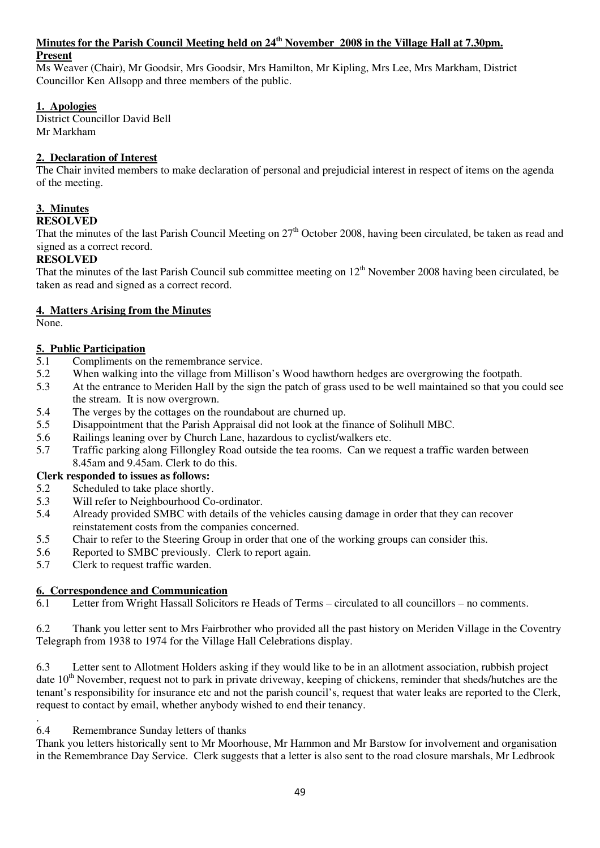### **Minutes for the Parish Council Meeting held on 24th November 2008 in the Village Hall at 7.30pm. Present**

Ms Weaver (Chair), Mr Goodsir, Mrs Goodsir, Mrs Hamilton, Mr Kipling, Mrs Lee, Mrs Markham, District Councillor Ken Allsopp and three members of the public.

## **1. Apologies**

District Councillor David Bell Mr Markham

## **2. Declaration of Interest**

The Chair invited members to make declaration of personal and prejudicial interest in respect of items on the agenda of the meeting.

## **3. Minutes**

## **RESOLVED**

That the minutes of the last Parish Council Meeting on  $27<sup>th</sup>$  October 2008, having been circulated, be taken as read and signed as a correct record.

## **RESOLVED**

That the minutes of the last Parish Council sub committee meeting on  $12<sup>th</sup>$  November 2008 having been circulated, be taken as read and signed as a correct record.

## **4. Matters Arising from the Minutes**

None.

## **5. Public Participation**

- 5.1 Compliments on the remembrance service.
- 5.2 When walking into the village from Millison's Wood hawthorn hedges are overgrowing the footpath.
- 5.3 At the entrance to Meriden Hall by the sign the patch of grass used to be well maintained so that you could see the stream. It is now overgrown.
- 5.4 The verges by the cottages on the roundabout are churned up.<br>5.5 Disappointment that the Parish Appraisal did not look at the fi
- 5.5 Disappointment that the Parish Appraisal did not look at the finance of Solihull MBC.
- 5.6 Railings leaning over by Church Lane, hazardous to cyclist/walkers etc.
- 5.7 Traffic parking along Fillongley Road outside the tea rooms. Can we request a traffic warden between 8.45am and 9.45am. Clerk to do this.

## **Clerk responded to issues as follows:**

- 5.2 Scheduled to take place shortly.
- 5.3 Will refer to Neighbourhood Co-ordinator.<br>5.4 Already provided SMBC with details of the
- 5.4 Already provided SMBC with details of the vehicles causing damage in order that they can recover reinstatement costs from the companies concerned.
- 5.5 Chair to refer to the Steering Group in order that one of the working groups can consider this.
- 5.6 Reported to SMBC previously. Clerk to report again.
- 5.7 Clerk to request traffic warden.

## **6. Correspondence and Communication**

6.1 Letter from Wright Hassall Solicitors re Heads of Terms – circulated to all councillors – no comments.

6.2 Thank you letter sent to Mrs Fairbrother who provided all the past history on Meriden Village in the Coventry Telegraph from 1938 to 1974 for the Village Hall Celebrations display.

6.3 Letter sent to Allotment Holders asking if they would like to be in an allotment association, rubbish project date  $10<sup>th</sup>$  November, request not to park in private driveway, keeping of chickens, reminder that sheds/hutches are the tenant's responsibility for insurance etc and not the parish council's, request that water leaks are reported to the Clerk, request to contact by email, whether anybody wished to end their tenancy.

#### . 6.4 Remembrance Sunday letters of thanks

Thank you letters historically sent to Mr Moorhouse, Mr Hammon and Mr Barstow for involvement and organisation in the Remembrance Day Service. Clerk suggests that a letter is also sent to the road closure marshals, Mr Ledbrook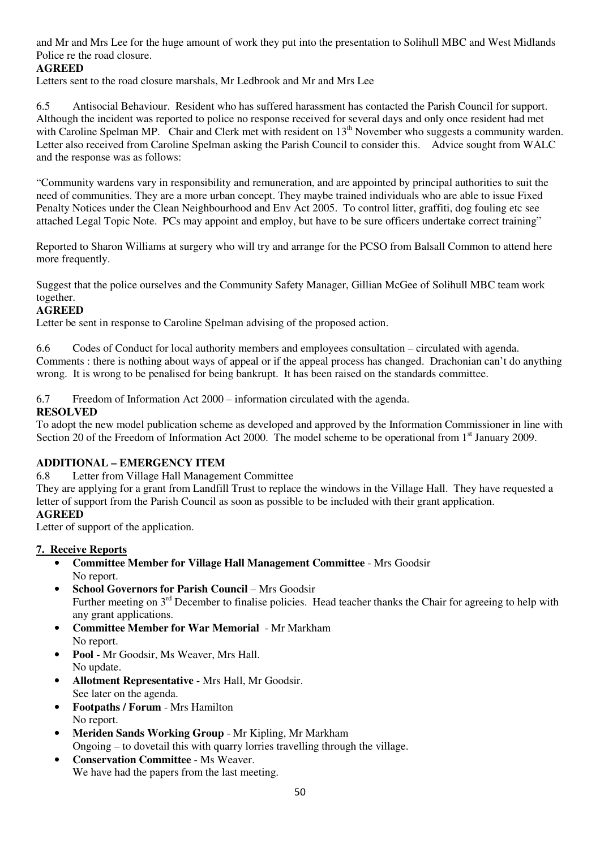and Mr and Mrs Lee for the huge amount of work they put into the presentation to Solihull MBC and West Midlands Police re the road closure.

## **AGREED**

Letters sent to the road closure marshals, Mr Ledbrook and Mr and Mrs Lee

6.5 Antisocial Behaviour. Resident who has suffered harassment has contacted the Parish Council for support. Although the incident was reported to police no response received for several days and only once resident had met with Caroline Spelman MP. Chair and Clerk met with resident on 13<sup>th</sup> November who suggests a community warden. Letter also received from Caroline Spelman asking the Parish Council to consider this. Advice sought from WALC and the response was as follows:

"Community wardens vary in responsibility and remuneration, and are appointed by principal authorities to suit the need of communities. They are a more urban concept. They maybe trained individuals who are able to issue Fixed Penalty Notices under the Clean Neighbourhood and Env Act 2005. To control litter, graffiti, dog fouling etc see attached Legal Topic Note. PCs may appoint and employ, but have to be sure officers undertake correct training"

Reported to Sharon Williams at surgery who will try and arrange for the PCSO from Balsall Common to attend here more frequently.

Suggest that the police ourselves and the Community Safety Manager, Gillian McGee of Solihull MBC team work together.

## **AGREED**

Letter be sent in response to Caroline Spelman advising of the proposed action.

6.6 Codes of Conduct for local authority members and employees consultation – circulated with agenda. Comments : there is nothing about ways of appeal or if the appeal process has changed. Drachonian can't do anything wrong. It is wrong to be penalised for being bankrupt. It has been raised on the standards committee.

6.7 Freedom of Information Act 2000 – information circulated with the agenda.

## **RESOLVED**

To adopt the new model publication scheme as developed and approved by the Information Commissioner in line with Section 20 of the Freedom of Information Act 2000. The model scheme to be operational from 1<sup>st</sup> January 2009.

## **ADDITIONAL – EMERGENCY ITEM**

6.8 Letter from Village Hall Management Committee

They are applying for a grant from Landfill Trust to replace the windows in the Village Hall. They have requested a letter of support from the Parish Council as soon as possible to be included with their grant application. **AGREED** 

Letter of support of the application.

## **7. Receive Reports**

- **Committee Member for Village Hall Management Committee** Mrs Goodsir No report.
- **School Governors for Parish Council** Mrs Goodsir Further meeting on 3<sup>rd</sup> December to finalise policies. Head teacher thanks the Chair for agreeing to help with any grant applications.
- **Committee Member for War Memorial** Mr Markham No report.
- **Pool** Mr Goodsir, Ms Weaver, Mrs Hall. No update.
- **Allotment Representative** Mrs Hall, Mr Goodsir. See later on the agenda.
- **Footpaths / Forum** Mrs Hamilton No report.
- **Meriden Sands Working Group** Mr Kipling, Mr Markham Ongoing – to dovetail this with quarry lorries travelling through the village.
- **Conservation Committee** Ms Weaver. We have had the papers from the last meeting.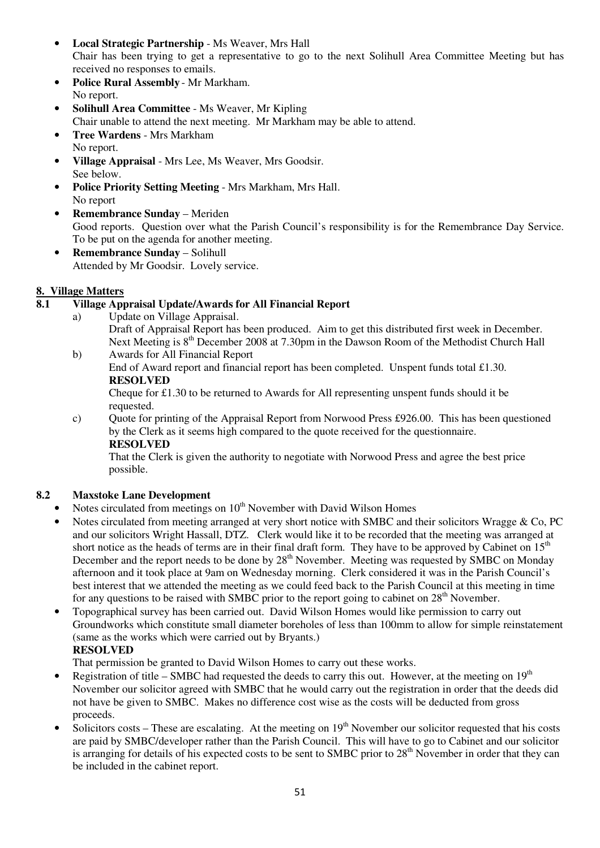- **Local Strategic Partnership** Ms Weaver, Mrs Hall Chair has been trying to get a representative to go to the next Solihull Area Committee Meeting but has received no responses to emails.
- **Police Rural Assembly** Mr Markham. No report.
- **Solihull Area Committee** Ms Weaver, Mr Kipling
- Chair unable to attend the next meeting. Mr Markham may be able to attend.
- **Tree Wardens** Mrs Markham No report.
- **Village Appraisal** Mrs Lee, Ms Weaver, Mrs Goodsir. See below.
- **Police Priority Setting Meeting**  Mrs Markham, Mrs Hall. No report
- **Remembrance Sunday**  Meriden Good reports. Question over what the Parish Council's responsibility is for the Remembrance Day Service. To be put on the agenda for another meeting.
- **Remembrance Sunday**  Solihull Attended by Mr Goodsir. Lovely service.

# **8. Village Matters**

## **8.1 Village Appraisal Update/Awards for All Financial Report**

a) Update on Village Appraisal.

Draft of Appraisal Report has been produced. Aim to get this distributed first week in December. Next Meeting is 8<sup>th</sup> December 2008 at 7.30pm in the Dawson Room of the Methodist Church Hall

 b) Awards for All Financial Report End of Award report and financial report has been completed. Unspent funds total £1.30. **RESOLVED** 

 Cheque for £1.30 to be returned to Awards for All representing unspent funds should it be requested.

c) Quote for printing of the Appraisal Report from Norwood Press £926.00. This has been questioned by the Clerk as it seems high compared to the quote received for the questionnaire. **RESOLVED** 

That the Clerk is given the authority to negotiate with Norwood Press and agree the best price possible.

## **8.2 Maxstoke Lane Development**

- Notes circulated from meetings on  $10<sup>th</sup>$  November with David Wilson Homes
- Notes circulated from meeting arranged at very short notice with SMBC and their solicitors Wragge & Co, PC and our solicitors Wright Hassall, DTZ. Clerk would like it to be recorded that the meeting was arranged at short notice as the heads of terms are in their final draft form. They have to be approved by Cabinet on  $15<sup>th</sup>$ December and the report needs to be done by 28<sup>th</sup> November. Meeting was requested by SMBC on Monday afternoon and it took place at 9am on Wednesday morning. Clerk considered it was in the Parish Council's best interest that we attended the meeting as we could feed back to the Parish Council at this meeting in time for any questions to be raised with SMBC prior to the report going to cabinet on  $28<sup>th</sup>$  November.
- Topographical survey has been carried out. David Wilson Homes would like permission to carry out Groundworks which constitute small diameter boreholes of less than 100mm to allow for simple reinstatement (same as the works which were carried out by Bryants.)

## **RESOLVED**

That permission be granted to David Wilson Homes to carry out these works.

- Registration of title SMBC had requested the deeds to carry this out. However, at the meeting on  $19<sup>th</sup>$ November our solicitor agreed with SMBC that he would carry out the registration in order that the deeds did not have be given to SMBC. Makes no difference cost wise as the costs will be deducted from gross proceeds.
- Solicitors costs These are escalating. At the meeting on  $19<sup>th</sup>$  November our solicitor requested that his costs are paid by SMBC/developer rather than the Parish Council. This will have to go to Cabinet and our solicitor is arranging for details of his expected costs to be sent to SMBC prior to  $28<sup>th</sup>$  November in order that they can be included in the cabinet report.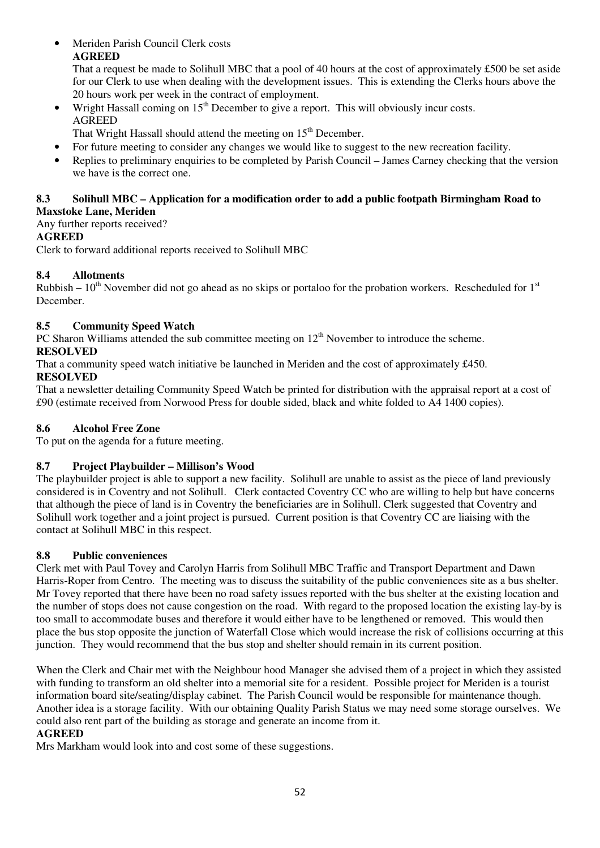• Meriden Parish Council Clerk costs **AGREED** 

That a request be made to Solihull MBC that a pool of 40 hours at the cost of approximately £500 be set aside for our Clerk to use when dealing with the development issues. This is extending the Clerks hours above the 20 hours work per week in the contract of employment.

Wright Hassall coming on  $15<sup>th</sup>$  December to give a report. This will obviously incur costs. AGREED

That Wright Hassall should attend the meeting on  $15<sup>th</sup>$  December.

- For future meeting to consider any changes we would like to suggest to the new recreation facility.
- Replies to preliminary enquiries to be completed by Parish Council James Carney checking that the version we have is the correct one.

#### **8.3 Solihull MBC – Application for a modification order to add a public footpath Birmingham Road to Maxstoke Lane, Meriden**

Any further reports received?

## **AGREED**

Clerk to forward additional reports received to Solihull MBC

## **8.4 Allotments**

Rubbish –  $10<sup>th</sup>$  November did not go ahead as no skips or portaloo for the probation workers. Rescheduled for  $1<sup>st</sup>$ December.

## **8.5 Community Speed Watch**

PC Sharon Williams attended the sub committee meeting on 12<sup>th</sup> November to introduce the scheme. **RESOLVED** 

That a community speed watch initiative be launched in Meriden and the cost of approximately £450.

## **RESOLVED**

That a newsletter detailing Community Speed Watch be printed for distribution with the appraisal report at a cost of £90 (estimate received from Norwood Press for double sided, black and white folded to A4 1400 copies).

## **8.6 Alcohol Free Zone**

To put on the agenda for a future meeting.

## **8.7 Project Playbuilder – Millison's Wood**

The playbuilder project is able to support a new facility. Solihull are unable to assist as the piece of land previously considered is in Coventry and not Solihull. Clerk contacted Coventry CC who are willing to help but have concerns that although the piece of land is in Coventry the beneficiaries are in Solihull. Clerk suggested that Coventry and Solihull work together and a joint project is pursued. Current position is that Coventry CC are liaising with the contact at Solihull MBC in this respect.

## **8.8 Public conveniences**

Clerk met with Paul Tovey and Carolyn Harris from Solihull MBC Traffic and Transport Department and Dawn Harris-Roper from Centro. The meeting was to discuss the suitability of the public conveniences site as a bus shelter. Mr Tovey reported that there have been no road safety issues reported with the bus shelter at the existing location and the number of stops does not cause congestion on the road. With regard to the proposed location the existing lay-by is too small to accommodate buses and therefore it would either have to be lengthened or removed. This would then place the bus stop opposite the junction of Waterfall Close which would increase the risk of collisions occurring at this junction. They would recommend that the bus stop and shelter should remain in its current position.

When the Clerk and Chair met with the Neighbour hood Manager she advised them of a project in which they assisted with funding to transform an old shelter into a memorial site for a resident. Possible project for Meriden is a tourist information board site/seating/display cabinet. The Parish Council would be responsible for maintenance though. Another idea is a storage facility. With our obtaining Quality Parish Status we may need some storage ourselves. We could also rent part of the building as storage and generate an income from it.

## **AGREED**

Mrs Markham would look into and cost some of these suggestions.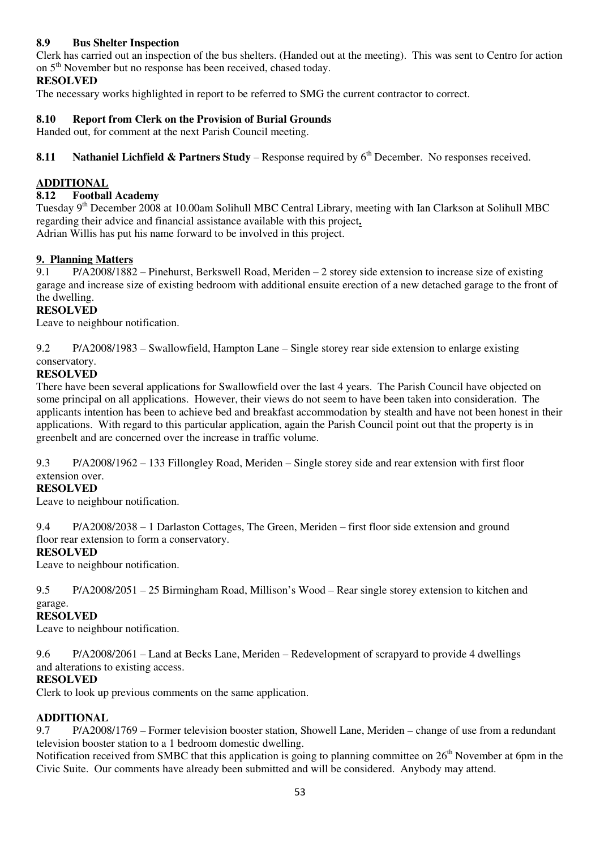## **8.9 Bus Shelter Inspection**

Clerk has carried out an inspection of the bus shelters. (Handed out at the meeting). This was sent to Centro for action on 5th November but no response has been received, chased today.

### **RESOLVED**

The necessary works highlighted in report to be referred to SMG the current contractor to correct.

### **8.10 Report from Clerk on the Provision of Burial Grounds**

Handed out, for comment at the next Parish Council meeting.

**8.11 Nathaniel Lichfield & Partners Study** – Response required by 6<sup>th</sup> December. No responses received.

### **ADDITIONAL**

#### **8.12 Football Academy**

Tuesday 9th December 2008 at 10.00am Solihull MBC Central Library, meeting with Ian Clarkson at Solihull MBC regarding their advice and financial assistance available with this project**.**  Adrian Willis has put his name forward to be involved in this project.

# **9. Planning Matters**<br>**9.1** P/A2008/1882

9.1 P/A2008/1882 – Pinehurst, Berkswell Road, Meriden – 2 storey side extension to increase size of existing garage and increase size of existing bedroom with additional ensuite erection of a new detached garage to the front of the dwelling.

#### **RESOLVED**

Leave to neighbour notification.

9.2 P/A2008/1983 – Swallowfield, Hampton Lane – Single storey rear side extension to enlarge existing conservatory.

#### **RESOLVED**

There have been several applications for Swallowfield over the last 4 years. The Parish Council have objected on some principal on all applications. However, their views do not seem to have been taken into consideration. The applicants intention has been to achieve bed and breakfast accommodation by stealth and have not been honest in their applications. With regard to this particular application, again the Parish Council point out that the property is in greenbelt and are concerned over the increase in traffic volume.

9.3 P/A2008/1962 – 133 Fillongley Road, Meriden – Single storey side and rear extension with first floor extension over.

#### **RESOLVED**

Leave to neighbour notification.

9.4 P/A2008/2038 – 1 Darlaston Cottages, The Green, Meriden – first floor side extension and ground floor rear extension to form a conservatory.

#### **RESOLVED**

Leave to neighbour notification.

9.5 P/A2008/2051 – 25 Birmingham Road, Millison's Wood – Rear single storey extension to kitchen and

#### garage. **RESOLVED**

Leave to neighbour notification.

9.6 P/A2008/2061 – Land at Becks Lane, Meriden – Redevelopment of scrapyard to provide 4 dwellings and alterations to existing access.

#### **RESOLVED**

Clerk to look up previous comments on the same application.

## **ADDITIONAL**

9.7 P/A2008/1769 – Former television booster station, Showell Lane, Meriden – change of use from a redundant television booster station to a 1 bedroom domestic dwelling.

Notification received from SMBC that this application is going to planning committee on  $26<sup>th</sup>$  November at 6pm in the Civic Suite. Our comments have already been submitted and will be considered. Anybody may attend.